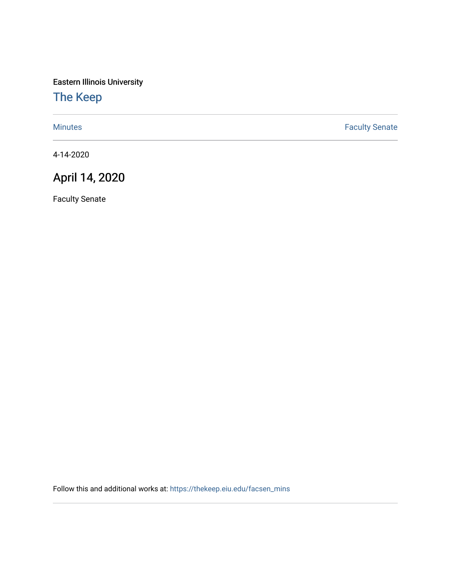Eastern Illinois University

## [The Keep](https://thekeep.eiu.edu/)

[Minutes](https://thekeep.eiu.edu/facsen_mins) **Faculty Senate** 

4-14-2020

## April 14, 2020

Faculty Senate

Follow this and additional works at: [https://thekeep.eiu.edu/facsen\\_mins](https://thekeep.eiu.edu/facsen_mins?utm_source=thekeep.eiu.edu%2Ffacsen_mins%2F1136&utm_medium=PDF&utm_campaign=PDFCoverPages)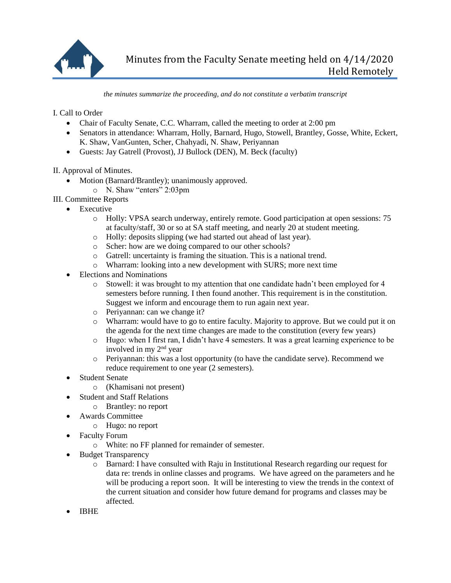

*the minutes summarize the proceeding, and do not constitute a verbatim transcript*

I. Call to Order

- Chair of Faculty Senate, C.C. Wharram, called the meeting to order at 2:00 pm
- Senators in attendance: Wharram, Holly, Barnard, Hugo, Stowell, Brantley, Gosse, White, Eckert, K. Shaw, VanGunten, Scher, Chahyadi, N. Shaw, Periyannan
- Guests: Jay Gatrell (Provost), JJ Bullock (DEN), M. Beck (faculty)

II. Approval of Minutes.

- Motion (Barnard/Brantley); unanimously approved.
	- o N. Shaw "enters" 2:03pm
- III. Committee Reports
	- Executive
		- o Holly: VPSA search underway, entirely remote. Good participation at open sessions: 75 at faculty/staff, 30 or so at SA staff meeting, and nearly 20 at student meeting.
		- o Holly: deposits slipping (we had started out ahead of last year).
		- o Scher: how are we doing compared to our other schools?
		- o Gatrell: uncertainty is framing the situation. This is a national trend.
		- o Wharram: looking into a new development with SURS; more next time
	- Elections and Nominations
		- o Stowell: it was brought to my attention that one candidate hadn't been employed for 4 semesters before running. I then found another. This requirement is in the constitution. Suggest we inform and encourage them to run again next year.
		- o Periyannan: can we change it?
		- o Wharram: would have to go to entire faculty. Majority to approve. But we could put it on the agenda for the next time changes are made to the constitution (every few years)
		- o Hugo: when I first ran, I didn't have 4 semesters. It was a great learning experience to be involved in my 2nd year
		- o Periyannan: this was a lost opportunity (to have the candidate serve). Recommend we reduce requirement to one year (2 semesters).
	- Student Senate
		- o (Khamisani not present)
	- Student and Staff Relations
		- o Brantley: no report
	- Awards Committee
		- o Hugo: no report
	- Faculty Forum
		- o White: no FF planned for remainder of semester.
	- Budget Transparency
		- o Barnard: I have consulted with Raju in Institutional Research regarding our request for data re: trends in online classes and programs. We have agreed on the parameters and he will be producing a report soon. It will be interesting to view the trends in the context of the current situation and consider how future demand for programs and classes may be affected.
	- IBHE